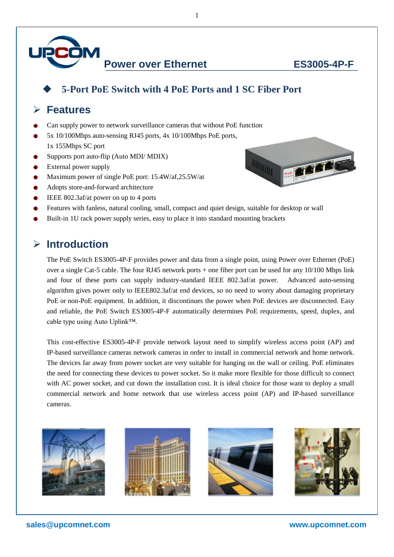

POE THE THE PLANT

#### **5-Port PoE Switch with 4 PoE Ports and 1 SC Fiber Port**

1

### **Features**

- Can supply power to network surveillance cameras that without PoE function
- 5x 10/100Mbps auto-sensing RJ45 ports, 4x 10/100Mbps PoE ports,
- 1x 155Mbps SC port
- Supports port auto-flip (Auto MDI/ MDIX)
- External power supply
- Maximum power of single PoE port: 15.4W/af,25.5W/at
- Adopts store-and-forward architecture
- IEEE 802.3af/at power on up to 4 ports



**IIIIIIII** 

Built-in 1U rack power supply series, easy to place it into standard mounting brackets

## **Introduction**

The PoE Switch ES3005-4P-F provides power and data from a single point, using Power over Ethernet (PoE) over a single Cat-5 cable. The four RJ45 network ports + one fiber port can be used for any 10/100 Mbps link and four of these ports can supply industry-standard IEEE 802.3af/at power. Advanced auto-sensing algorithm gives power only to IEEE802.3af/at end devices, so no need to worry about damaging proprietary PoE or non-PoE equipment. In addition, it discontinues the power when PoE devices are disconnected. Easy and reliable, the PoE Switch ES3005-4P-F automatically determines PoE requirements, speed, duplex, and cable type using Auto Uplink™.

This cost-effective ES3005-4P-F provide network layout need to simplify wireless access point (AP) and IP-based surveillance cameras network cameras in order to install in commercial network and home network. The devices far away from power socket are very suitable for hanging on the wall or ceiling. PoE eliminates the need for connecting these devices to power socket. So it make more flexible for those difficult to connect with AC power socket, and cut down the installation cost. It is ideal choice for those want to deploy a small commercial network and home network that use wireless access point (AP) and IP-based surveillance cameras.

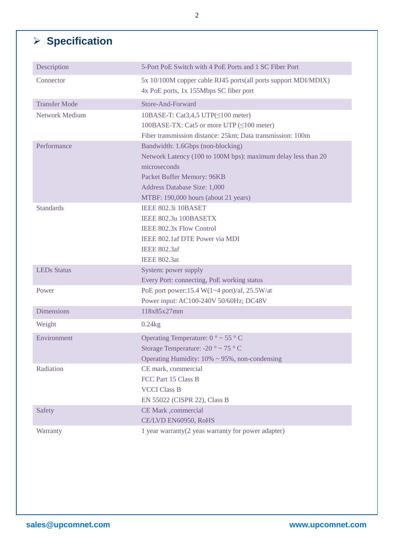# **Specification**

| Description           | 5-Port PoE Switch with 4 PoE Ports and 1 SC Fiber Port                                                   |
|-----------------------|----------------------------------------------------------------------------------------------------------|
| Connector             | 5x 10/100M copper cable RJ45 ports(all ports support MDI/MDIX)<br>4x PoE ports, 1x 155Mbps SC fiber port |
| <b>Transfer Mode</b>  | Store-And-Forward                                                                                        |
| <b>Network Medium</b> | 10BASE-T: Cat3,4,5 UTP( $\leq$ 100 meter)                                                                |
|                       | 100BASE-TX: Cat5 or more UTP (≤100 meter)                                                                |
|                       | Fiber transmission distance: 25km; Data transmission: 100m                                               |
| Performance           | Bandwidth: 1.6Gbps (non-blocking)                                                                        |
|                       | Network Latency (100 to 100M bps): maximum delay less than 20                                            |
|                       | microseconds                                                                                             |
|                       | Packet Buffer Memory: 96KB                                                                               |
|                       | Address Database Size: 1,000                                                                             |
|                       | MTBF: 190,000 hours (about 21 years)                                                                     |
| <b>Standards</b>      | IEEE 802.3i 10BASET                                                                                      |
|                       | IEEE 802.3u 100BASETX                                                                                    |
|                       | <b>IEEE 802.3x Flow Control</b>                                                                          |
|                       | IEEE 802.1 af DTE Power via MDI                                                                          |
|                       | <b>IEEE 802.3af</b>                                                                                      |
|                       | <b>IEEE 802.3at</b>                                                                                      |
| <b>LEDs Status</b>    | System: power supply                                                                                     |
|                       | Every Port: connecting, PoE working status                                                               |
| Power                 | PoE port power:15.4 W(1~4 port)/af, 25.5 W/at                                                            |
|                       | Power input: AC100-240V 50/60Hz; DC48V                                                                   |
| <b>Dimensions</b>     | 118x85x27mm                                                                                              |
| Weight                | $0.24$ kg                                                                                                |
| Environment           | Operating Temperature: $0 \degree \sim 55 \degree C$                                                     |
|                       | Storage Temperature: -20 $\degree \sim 75 \degree C$                                                     |
|                       | Operating Humidity: $10\% \sim 95\%$ , non-condensing                                                    |
| Radiation             | CE mark, commercial                                                                                      |
|                       | FCC Part 15 Class B                                                                                      |
|                       | <b>VCCI Class B</b>                                                                                      |
|                       | EN 55022 (CISPR 22), Class B                                                                             |
| Safety                | CE Mark ,commercial                                                                                      |
|                       | CE/LVD EN60950, RoHS                                                                                     |
| Warranty              | 1 year warranty(2 yeas warranty for power adapter)                                                       |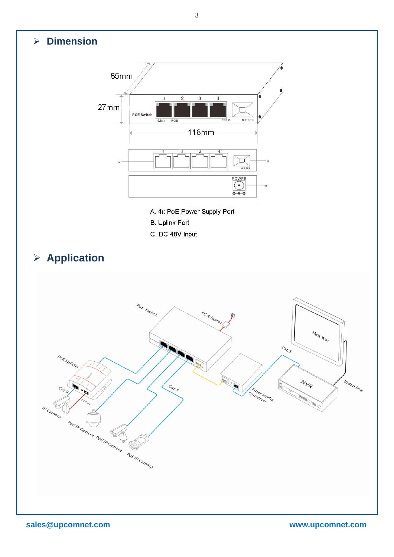